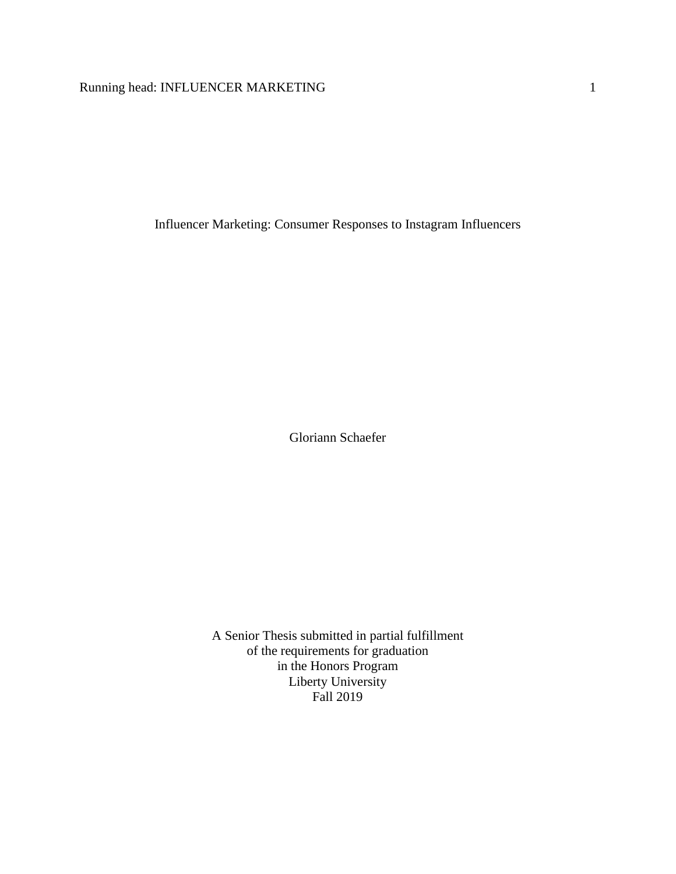# Running head: INFLUENCER MARKETING 1

Influencer Marketing: Consumer Responses to Instagram Influencers

Gloriann Schaefer

A Senior Thesis submitted in partial fulfillment of the requirements for graduation in the Honors Program Liberty University Fall 2019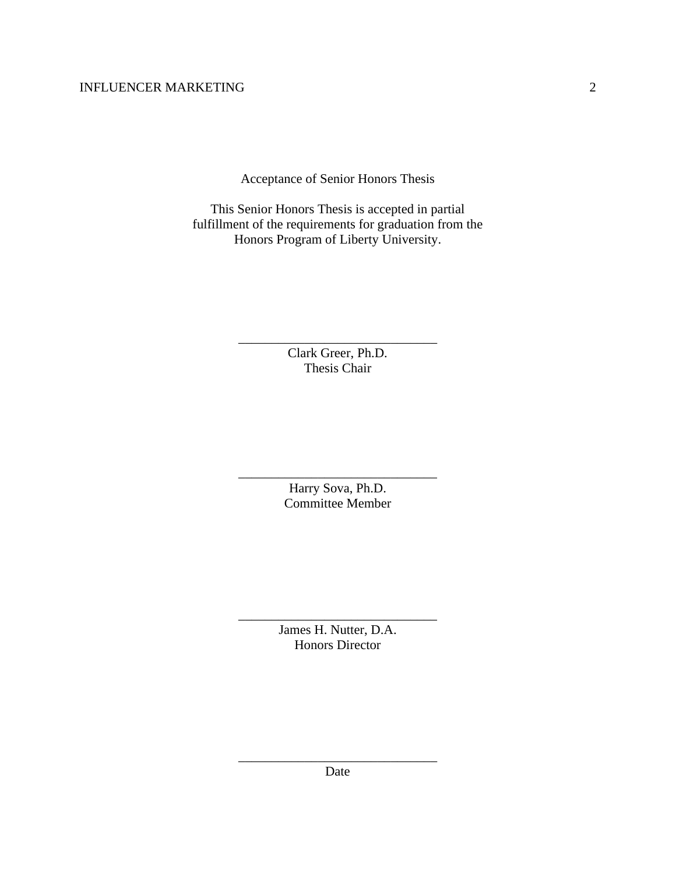Acceptance of Senior Honors Thesis

This Senior Honors Thesis is accepted in partial fulfillment of the requirements for graduation from the Honors Program of Liberty University.

> Clark Greer, Ph.D. Thesis Chair

\_\_\_\_\_\_\_\_\_\_\_\_\_\_\_\_\_\_\_\_\_\_\_\_\_\_\_\_\_\_

Harry Sova, Ph.D. Committee Member

\_\_\_\_\_\_\_\_\_\_\_\_\_\_\_\_\_\_\_\_\_\_\_\_\_\_\_\_\_\_

James H. Nutter, D.A. Honors Director

\_\_\_\_\_\_\_\_\_\_\_\_\_\_\_\_\_\_\_\_\_\_\_\_\_\_\_\_\_\_

\_\_\_\_\_\_\_\_\_\_\_\_\_\_\_\_\_\_\_\_\_\_\_\_\_\_\_\_\_\_ Date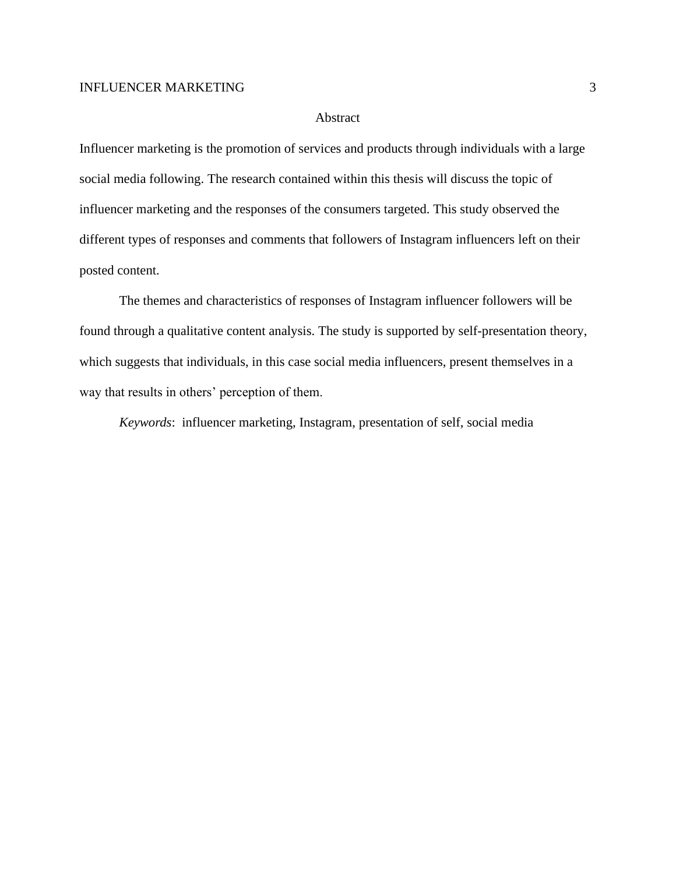### Abstract

Influencer marketing is the promotion of services and products through individuals with a large social media following. The research contained within this thesis will discuss the topic of influencer marketing and the responses of the consumers targeted. This study observed the different types of responses and comments that followers of Instagram influencers left on their posted content.

The themes and characteristics of responses of Instagram influencer followers will be found through a qualitative content analysis. The study is supported by self-presentation theory, which suggests that individuals, in this case social media influencers, present themselves in a way that results in others' perception of them.

*Keywords*: influencer marketing, Instagram, presentation of self, social media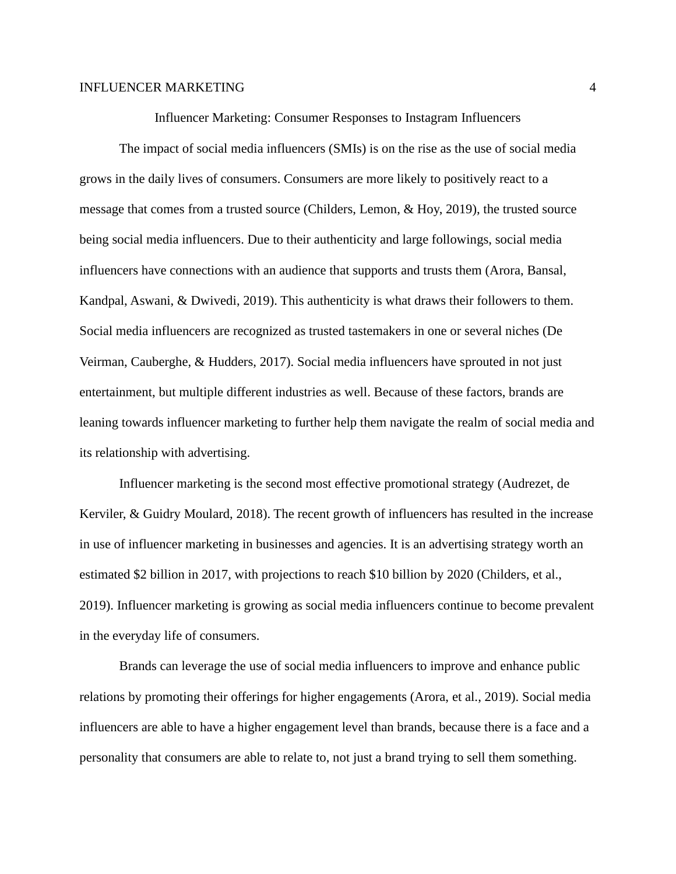Influencer Marketing: Consumer Responses to Instagram Influencers

The impact of social media influencers (SMIs) is on the rise as the use of social media grows in the daily lives of consumers. Consumers are more likely to positively react to a message that comes from a trusted source (Childers, Lemon, & Hoy, 2019), the trusted source being social media influencers. Due to their authenticity and large followings, social media influencers have connections with an audience that supports and trusts them (Arora, Bansal, Kandpal, Aswani, & Dwivedi, 2019). This authenticity is what draws their followers to them. Social media influencers are recognized as trusted tastemakers in one or several niches (De Veirman, Cauberghe, & Hudders, 2017). Social media influencers have sprouted in not just entertainment, but multiple different industries as well. Because of these factors, brands are leaning towards influencer marketing to further help them navigate the realm of social media and its relationship with advertising.

Influencer marketing is the second most effective promotional strategy (Audrezet, de Kerviler, & Guidry Moulard, 2018). The recent growth of influencers has resulted in the increase in use of influencer marketing in businesses and agencies. It is an advertising strategy worth an estimated \$2 billion in 2017, with projections to reach \$10 billion by 2020 (Childers, et al., 2019). Influencer marketing is growing as social media influencers continue to become prevalent in the everyday life of consumers.

Brands can leverage the use of social media influencers to improve and enhance public relations by promoting their offerings for higher engagements (Arora, et al., 2019). Social media influencers are able to have a higher engagement level than brands, because there is a face and a personality that consumers are able to relate to, not just a brand trying to sell them something.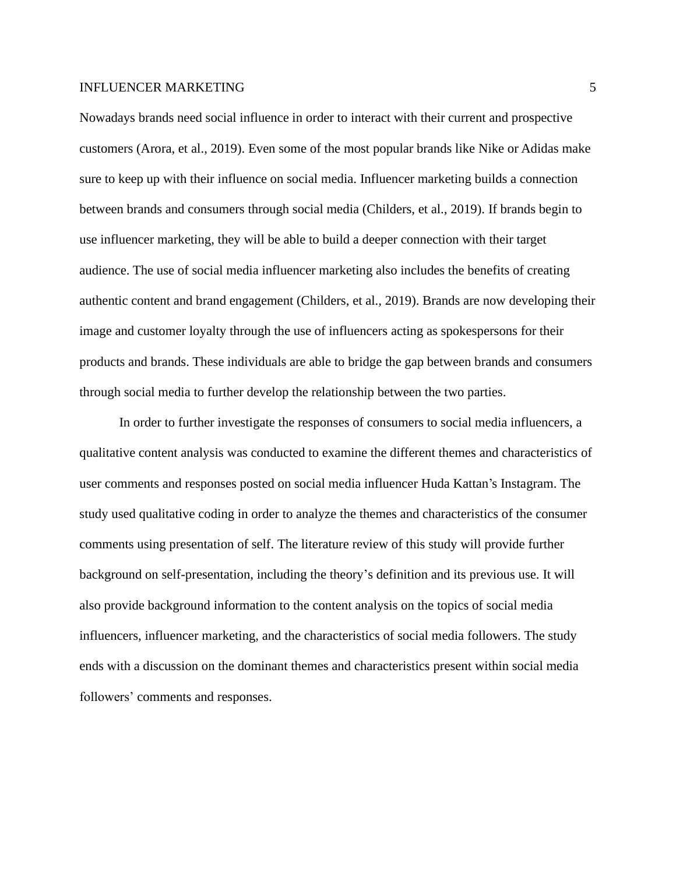Nowadays brands need social influence in order to interact with their current and prospective customers (Arora, et al., 2019). Even some of the most popular brands like Nike or Adidas make sure to keep up with their influence on social media. Influencer marketing builds a connection between brands and consumers through social media (Childers, et al., 2019). If brands begin to use influencer marketing, they will be able to build a deeper connection with their target audience. The use of social media influencer marketing also includes the benefits of creating authentic content and brand engagement (Childers, et al., 2019). Brands are now developing their image and customer loyalty through the use of influencers acting as spokespersons for their products and brands. These individuals are able to bridge the gap between brands and consumers through social media to further develop the relationship between the two parties.

In order to further investigate the responses of consumers to social media influencers, a qualitative content analysis was conducted to examine the different themes and characteristics of user comments and responses posted on social media influencer Huda Kattan's Instagram. The study used qualitative coding in order to analyze the themes and characteristics of the consumer comments using presentation of self. The literature review of this study will provide further background on self-presentation, including the theory's definition and its previous use. It will also provide background information to the content analysis on the topics of social media influencers, influencer marketing, and the characteristics of social media followers. The study ends with a discussion on the dominant themes and characteristics present within social media followers' comments and responses.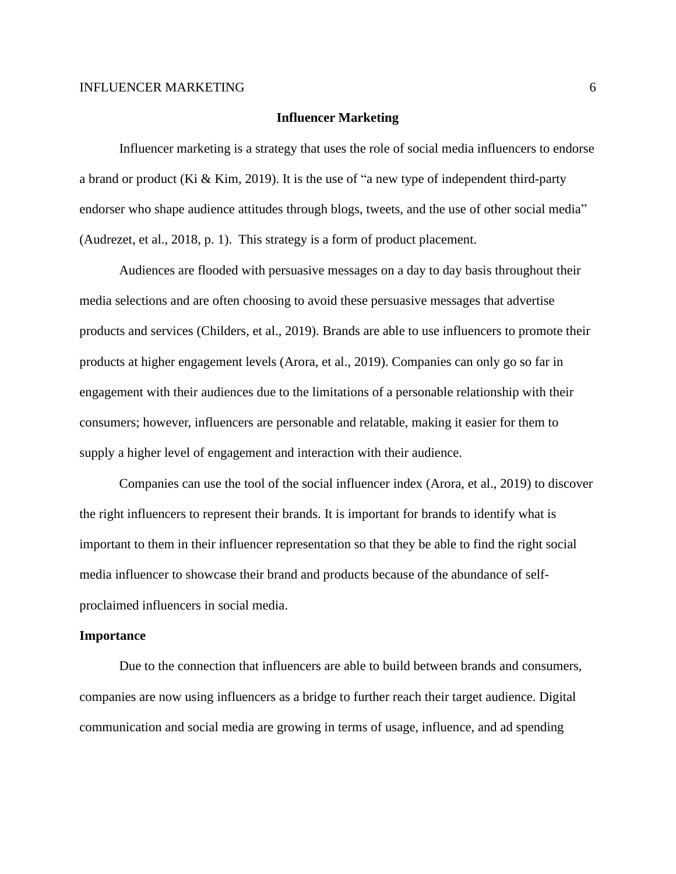# **Influencer Marketing**

Influencer marketing is a strategy that uses the role of social media influencers to endorse a brand or product (Ki & Kim, 2019). It is the use of "a new type of independent third-party endorser who shape audience attitudes through blogs, tweets, and the use of other social media" (Audrezet, et al., 2018, p. 1). This strategy is a form of product placement.

Audiences are flooded with persuasive messages on a day to day basis throughout their media selections and are often choosing to avoid these persuasive messages that advertise products and services (Childers, et al., 2019). Brands are able to use influencers to promote their products at higher engagement levels (Arora, et al., 2019). Companies can only go so far in engagement with their audiences due to the limitations of a personable relationship with their consumers; however, influencers are personable and relatable, making it easier for them to supply a higher level of engagement and interaction with their audience.

Companies can use the tool of the social influencer index (Arora, et al., 2019) to discover the right influencers to represent their brands. It is important for brands to identify what is important to them in their influencer representation so that they be able to find the right social media influencer to showcase their brand and products because of the abundance of selfproclaimed influencers in social media.

#### **Importance**

Due to the connection that influencers are able to build between brands and consumers, companies are now using influencers as a bridge to further reach their target audience. Digital communication and social media are growing in terms of usage, influence, and ad spending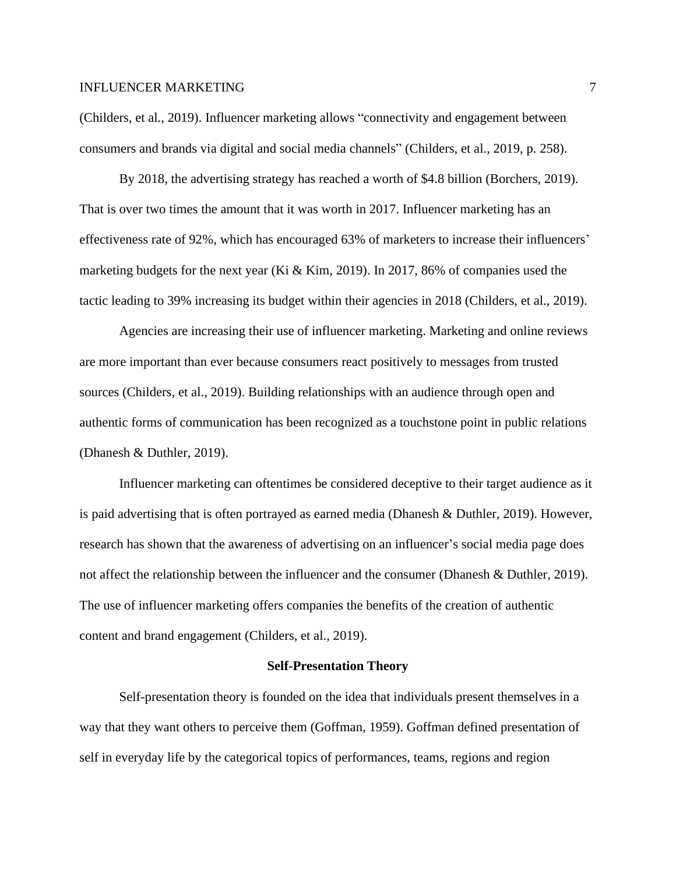(Childers, et al., 2019). Influencer marketing allows "connectivity and engagement between consumers and brands via digital and social media channels" (Childers, et al., 2019, p. 258).

By 2018, the advertising strategy has reached a worth of \$4.8 billion (Borchers, 2019). That is over two times the amount that it was worth in 2017. Influencer marketing has an effectiveness rate of 92%, which has encouraged 63% of marketers to increase their influencers' marketing budgets for the next year (Ki & Kim, 2019). In 2017, 86% of companies used the tactic leading to 39% increasing its budget within their agencies in 2018 (Childers, et al., 2019).

Agencies are increasing their use of influencer marketing. Marketing and online reviews are more important than ever because consumers react positively to messages from trusted sources (Childers, et al., 2019). Building relationships with an audience through open and authentic forms of communication has been recognized as a touchstone point in public relations (Dhanesh & Duthler, 2019).

Influencer marketing can oftentimes be considered deceptive to their target audience as it is paid advertising that is often portrayed as earned media (Dhanesh & Duthler, 2019). However, research has shown that the awareness of advertising on an influencer's social media page does not affect the relationship between the influencer and the consumer (Dhanesh & Duthler, 2019). The use of influencer marketing offers companies the benefits of the creation of authentic content and brand engagement (Childers, et al., 2019).

#### **Self-Presentation Theory**

Self-presentation theory is founded on the idea that individuals present themselves in a way that they want others to perceive them (Goffman, 1959). Goffman defined presentation of self in everyday life by the categorical topics of performances, teams, regions and region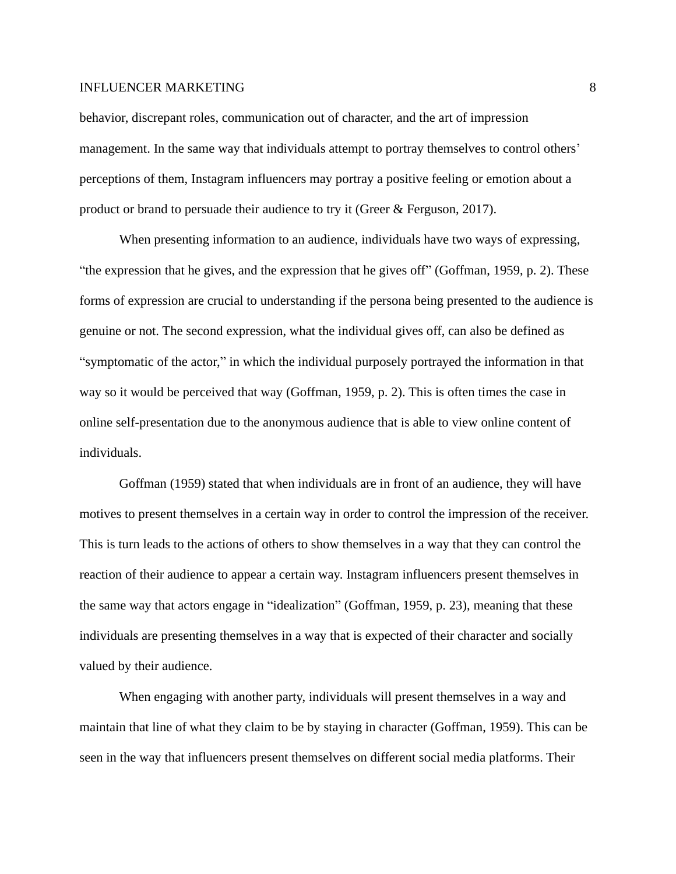behavior, discrepant roles, communication out of character, and the art of impression management. In the same way that individuals attempt to portray themselves to control others' perceptions of them, Instagram influencers may portray a positive feeling or emotion about a product or brand to persuade their audience to try it (Greer & Ferguson, 2017).

When presenting information to an audience, individuals have two ways of expressing, "the expression that he gives, and the expression that he gives off" (Goffman, 1959, p. 2). These forms of expression are crucial to understanding if the persona being presented to the audience is genuine or not. The second expression, what the individual gives off, can also be defined as "symptomatic of the actor," in which the individual purposely portrayed the information in that way so it would be perceived that way (Goffman, 1959, p. 2). This is often times the case in online self-presentation due to the anonymous audience that is able to view online content of individuals.

Goffman (1959) stated that when individuals are in front of an audience, they will have motives to present themselves in a certain way in order to control the impression of the receiver. This is turn leads to the actions of others to show themselves in a way that they can control the reaction of their audience to appear a certain way. Instagram influencers present themselves in the same way that actors engage in "idealization" (Goffman, 1959, p. 23), meaning that these individuals are presenting themselves in a way that is expected of their character and socially valued by their audience.

When engaging with another party, individuals will present themselves in a way and maintain that line of what they claim to be by staying in character (Goffman, 1959). This can be seen in the way that influencers present themselves on different social media platforms. Their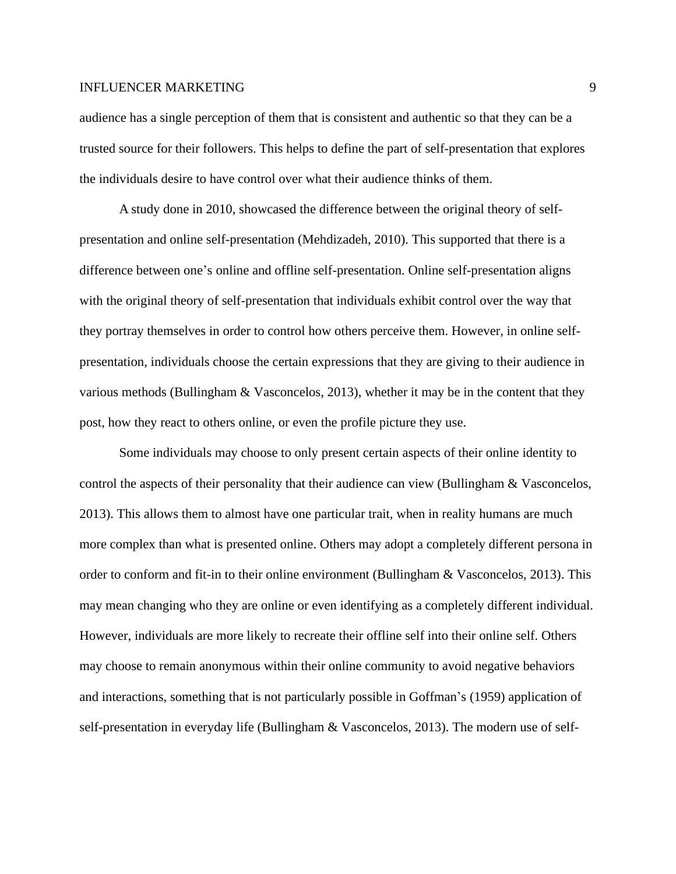audience has a single perception of them that is consistent and authentic so that they can be a trusted source for their followers. This helps to define the part of self-presentation that explores the individuals desire to have control over what their audience thinks of them.

A study done in 2010, showcased the difference between the original theory of selfpresentation and online self-presentation (Mehdizadeh, 2010). This supported that there is a difference between one's online and offline self-presentation. Online self-presentation aligns with the original theory of self-presentation that individuals exhibit control over the way that they portray themselves in order to control how others perceive them. However, in online selfpresentation, individuals choose the certain expressions that they are giving to their audience in various methods (Bullingham & Vasconcelos, 2013), whether it may be in the content that they post, how they react to others online, or even the profile picture they use.

Some individuals may choose to only present certain aspects of their online identity to control the aspects of their personality that their audience can view (Bullingham & Vasconcelos, 2013). This allows them to almost have one particular trait, when in reality humans are much more complex than what is presented online. Others may adopt a completely different persona in order to conform and fit-in to their online environment (Bullingham & Vasconcelos, 2013). This may mean changing who they are online or even identifying as a completely different individual. However, individuals are more likely to recreate their offline self into their online self. Others may choose to remain anonymous within their online community to avoid negative behaviors and interactions, something that is not particularly possible in Goffman's (1959) application of self-presentation in everyday life (Bullingham & Vasconcelos, 2013). The modern use of self-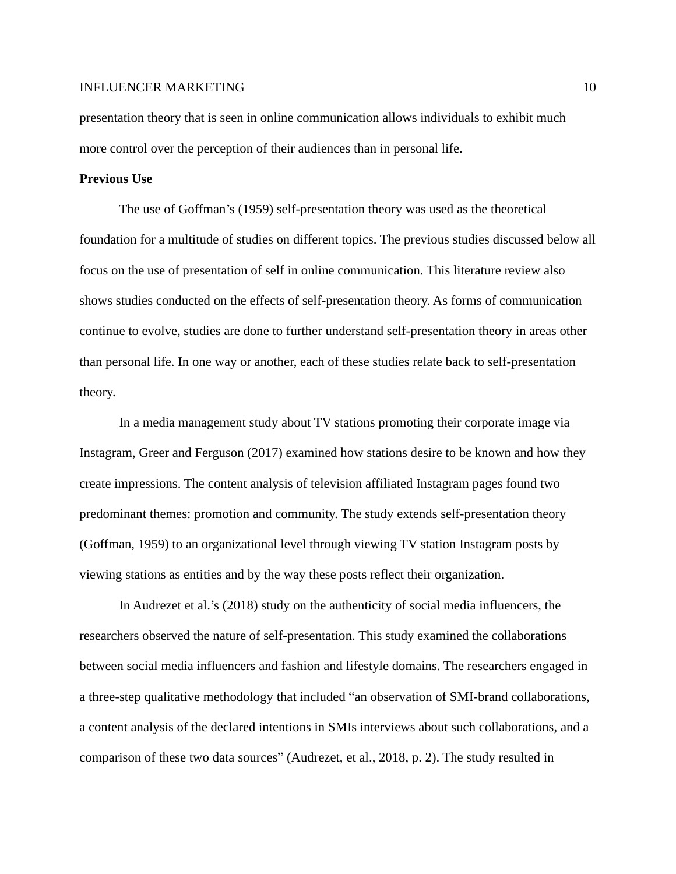presentation theory that is seen in online communication allows individuals to exhibit much more control over the perception of their audiences than in personal life.

# **Previous Use**

The use of Goffman's (1959) self-presentation theory was used as the theoretical foundation for a multitude of studies on different topics. The previous studies discussed below all focus on the use of presentation of self in online communication. This literature review also shows studies conducted on the effects of self-presentation theory. As forms of communication continue to evolve, studies are done to further understand self-presentation theory in areas other than personal life. In one way or another, each of these studies relate back to self-presentation theory.

In a media management study about TV stations promoting their corporate image via Instagram, Greer and Ferguson (2017) examined how stations desire to be known and how they create impressions. The content analysis of television affiliated Instagram pages found two predominant themes: promotion and community. The study extends self-presentation theory (Goffman, 1959) to an organizational level through viewing TV station Instagram posts by viewing stations as entities and by the way these posts reflect their organization.

In Audrezet et al.'s (2018) study on the authenticity of social media influencers, the researchers observed the nature of self-presentation. This study examined the collaborations between social media influencers and fashion and lifestyle domains. The researchers engaged in a three-step qualitative methodology that included "an observation of SMI-brand collaborations, a content analysis of the declared intentions in SMIs interviews about such collaborations, and a comparison of these two data sources" (Audrezet, et al., 2018, p. 2). The study resulted in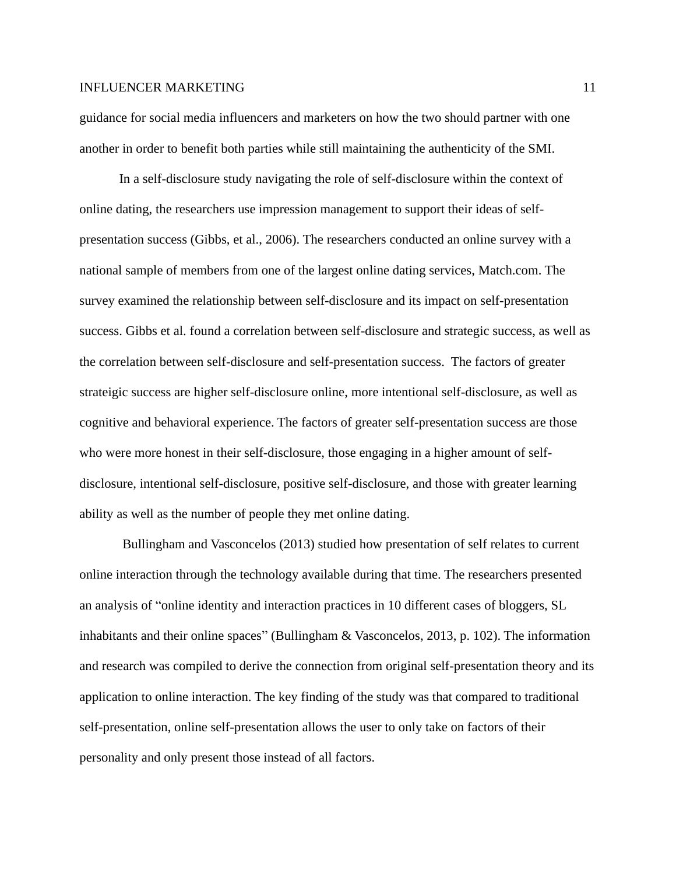guidance for social media influencers and marketers on how the two should partner with one another in order to benefit both parties while still maintaining the authenticity of the SMI.

In a self-disclosure study navigating the role of self-disclosure within the context of online dating, the researchers use impression management to support their ideas of selfpresentation success (Gibbs, et al., 2006). The researchers conducted an online survey with a national sample of members from one of the largest online dating services, Match.com. The survey examined the relationship between self-disclosure and its impact on self-presentation success. Gibbs et al. found a correlation between self-disclosure and strategic success, as well as the correlation between self-disclosure and self-presentation success. The factors of greater strateigic success are higher self-disclosure online, more intentional self-disclosure, as well as cognitive and behavioral experience. The factors of greater self-presentation success are those who were more honest in their self-disclosure, those engaging in a higher amount of selfdisclosure, intentional self-disclosure, positive self-disclosure, and those with greater learning ability as well as the number of people they met online dating.

Bullingham and Vasconcelos (2013) studied how presentation of self relates to current online interaction through the technology available during that time. The researchers presented an analysis of "online identity and interaction practices in 10 different cases of bloggers, SL inhabitants and their online spaces" (Bullingham & Vasconcelos, 2013, p. 102). The information and research was compiled to derive the connection from original self-presentation theory and its application to online interaction. The key finding of the study was that compared to traditional self-presentation, online self-presentation allows the user to only take on factors of their personality and only present those instead of all factors.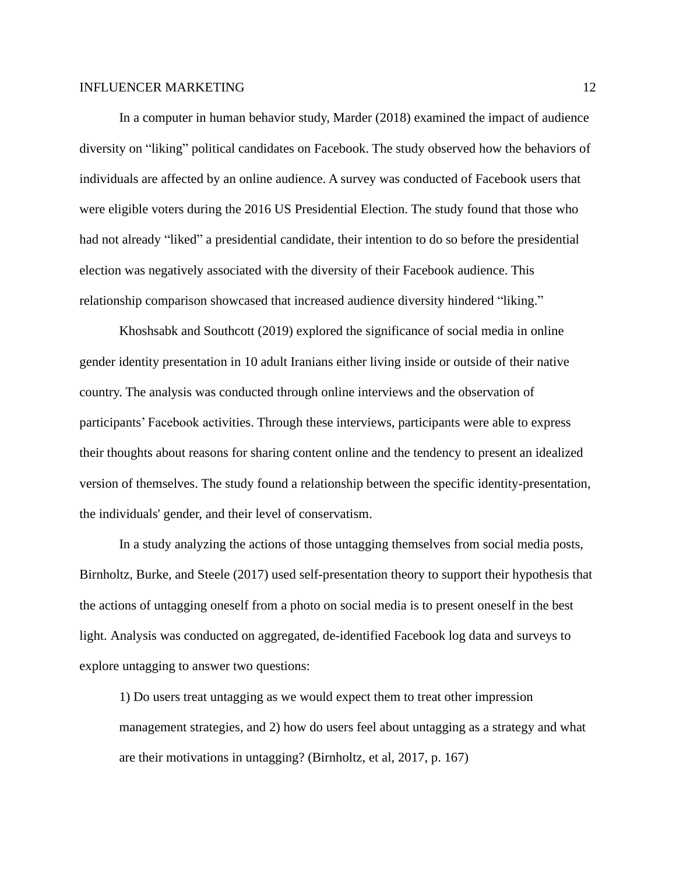In a computer in human behavior study, Marder (2018) examined the impact of audience diversity on "liking" political candidates on Facebook. The study observed how the behaviors of individuals are affected by an online audience. A survey was conducted of Facebook users that were eligible voters during the 2016 US Presidential Election. The study found that those who had not already "liked" a presidential candidate, their intention to do so before the presidential election was negatively associated with the diversity of their Facebook audience. This relationship comparison showcased that increased audience diversity hindered "liking."

Khoshsabk and Southcott (2019) explored the significance of social media in online gender identity presentation in 10 adult Iranians either living inside or outside of their native country. The analysis was conducted through online interviews and the observation of participants' Facebook activities. Through these interviews, participants were able to express their thoughts about reasons for sharing content online and the tendency to present an idealized version of themselves. The study found a relationship between the specific identity-presentation, the individuals' gender, and their level of conservatism.

In a study analyzing the actions of those untagging themselves from social media posts, Birnholtz, Burke, and Steele (2017) used self-presentation theory to support their hypothesis that the actions of untagging oneself from a photo on social media is to present oneself in the best light. Analysis was conducted on aggregated, de-identified Facebook log data and surveys to explore untagging to answer two questions:

1) Do users treat untagging as we would expect them to treat other impression management strategies, and 2) how do users feel about untagging as a strategy and what are their motivations in untagging? (Birnholtz, et al, 2017, p. 167)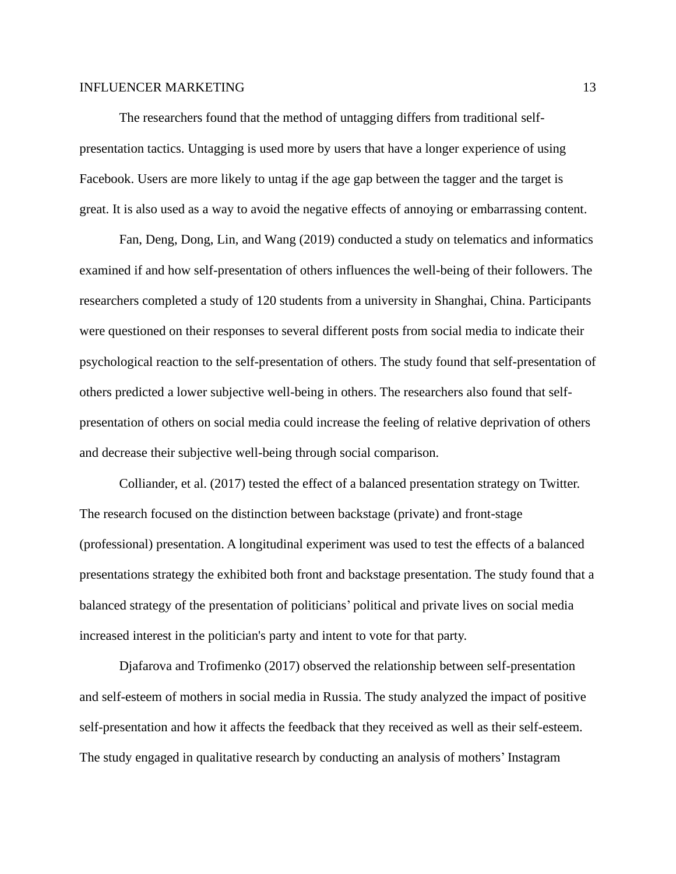The researchers found that the method of untagging differs from traditional selfpresentation tactics. Untagging is used more by users that have a longer experience of using Facebook. Users are more likely to untag if the age gap between the tagger and the target is great. It is also used as a way to avoid the negative effects of annoying or embarrassing content.

Fan, Deng, Dong, Lin, and Wang (2019) conducted a study on telematics and informatics examined if and how self-presentation of others influences the well-being of their followers. The researchers completed a study of 120 students from a university in Shanghai, China. Participants were questioned on their responses to several different posts from social media to indicate their psychological reaction to the self-presentation of others. The study found that self-presentation of others predicted a lower subjective well-being in others. The researchers also found that selfpresentation of others on social media could increase the feeling of relative deprivation of others and decrease their subjective well-being through social comparison.

Colliander, et al. (2017) tested the effect of a balanced presentation strategy on Twitter. The research focused on the distinction between backstage (private) and front-stage (professional) presentation. A longitudinal experiment was used to test the effects of a balanced presentations strategy the exhibited both front and backstage presentation. The study found that a balanced strategy of the presentation of politicians' political and private lives on social media increased interest in the politician's party and intent to vote for that party.

Djafarova and Trofimenko (2017) observed the relationship between self-presentation and self-esteem of mothers in social media in Russia. The study analyzed the impact of positive self-presentation and how it affects the feedback that they received as well as their self-esteem. The study engaged in qualitative research by conducting an analysis of mothers' Instagram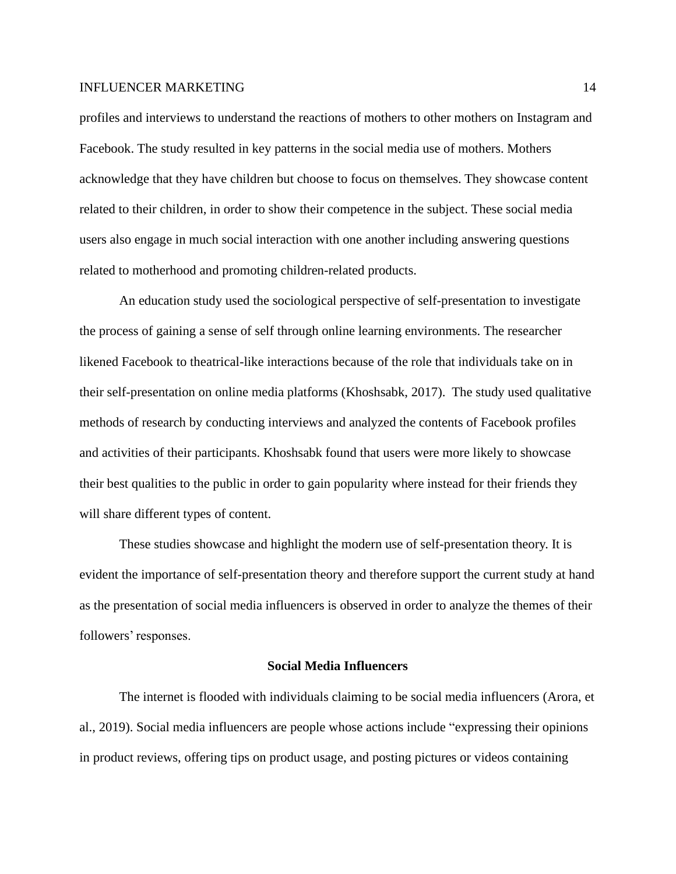profiles and interviews to understand the reactions of mothers to other mothers on Instagram and Facebook. The study resulted in key patterns in the social media use of mothers. Mothers acknowledge that they have children but choose to focus on themselves. They showcase content related to their children, in order to show their competence in the subject. These social media users also engage in much social interaction with one another including answering questions related to motherhood and promoting children-related products.

An education study used the sociological perspective of self-presentation to investigate the process of gaining a sense of self through online learning environments. The researcher likened Facebook to theatrical-like interactions because of the role that individuals take on in their self-presentation on online media platforms (Khoshsabk, 2017). The study used qualitative methods of research by conducting interviews and analyzed the contents of Facebook profiles and activities of their participants. Khoshsabk found that users were more likely to showcase their best qualities to the public in order to gain popularity where instead for their friends they will share different types of content.

These studies showcase and highlight the modern use of self-presentation theory. It is evident the importance of self-presentation theory and therefore support the current study at hand as the presentation of social media influencers is observed in order to analyze the themes of their followers' responses.

# **Social Media Influencers**

The internet is flooded with individuals claiming to be social media influencers (Arora, et al., 2019). Social media influencers are people whose actions include "expressing their opinions in product reviews, offering tips on product usage, and posting pictures or videos containing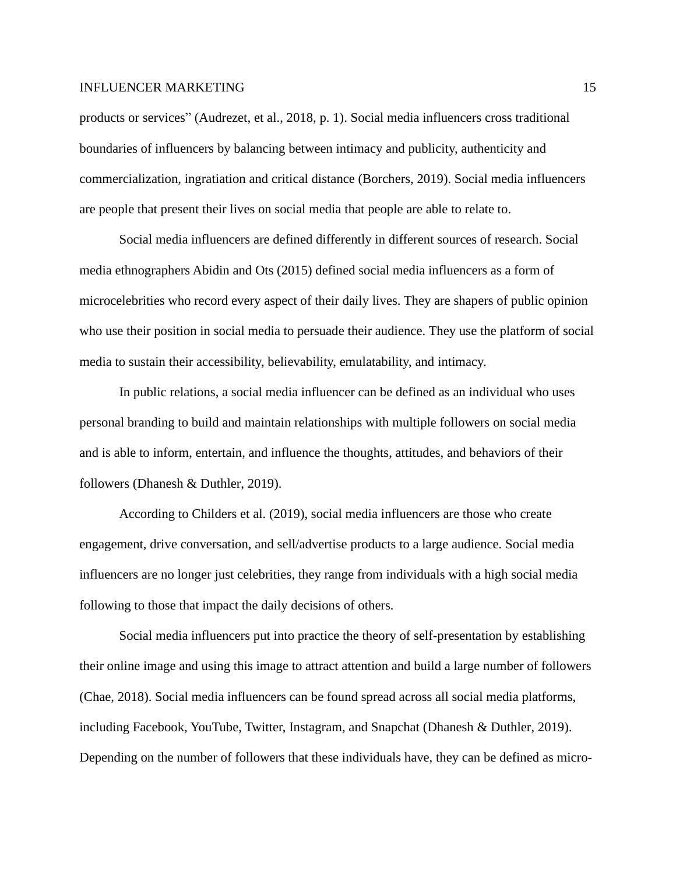products or services" (Audrezet, et al., 2018, p. 1). Social media influencers cross traditional boundaries of influencers by balancing between intimacy and publicity, authenticity and commercialization, ingratiation and critical distance (Borchers, 2019). Social media influencers are people that present their lives on social media that people are able to relate to.

Social media influencers are defined differently in different sources of research. Social media ethnographers Abidin and Ots (2015) defined social media influencers as a form of microcelebrities who record every aspect of their daily lives. They are shapers of public opinion who use their position in social media to persuade their audience. They use the platform of social media to sustain their accessibility, believability, emulatability, and intimacy.

In public relations, a social media influencer can be defined as an individual who uses personal branding to build and maintain relationships with multiple followers on social media and is able to inform, entertain, and influence the thoughts, attitudes, and behaviors of their followers (Dhanesh & Duthler, 2019).

According to Childers et al. (2019), social media influencers are those who create engagement, drive conversation, and sell/advertise products to a large audience. Social media influencers are no longer just celebrities, they range from individuals with a high social media following to those that impact the daily decisions of others.

Social media influencers put into practice the theory of self-presentation by establishing their online image and using this image to attract attention and build a large number of followers (Chae, 2018). Social media influencers can be found spread across all social media platforms, including Facebook, YouTube, Twitter, Instagram, and Snapchat (Dhanesh & Duthler, 2019). Depending on the number of followers that these individuals have, they can be defined as micro-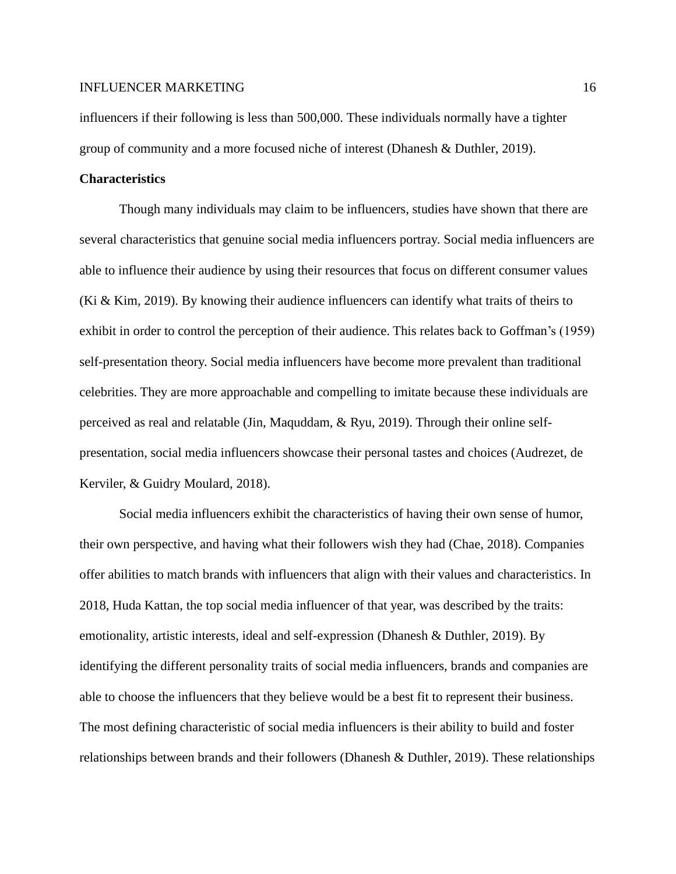influencers if their following is less than 500,000. These individuals normally have a tighter group of community and a more focused niche of interest (Dhanesh & Duthler, 2019).

# **Characteristics**

Though many individuals may claim to be influencers, studies have shown that there are several characteristics that genuine social media influencers portray. Social media influencers are able to influence their audience by using their resources that focus on different consumer values (Ki & Kim, 2019). By knowing their audience influencers can identify what traits of theirs to exhibit in order to control the perception of their audience. This relates back to Goffman's (1959) self-presentation theory. Social media influencers have become more prevalent than traditional celebrities. They are more approachable and compelling to imitate because these individuals are perceived as real and relatable (Jin, Maquddam, & Ryu, 2019). Through their online selfpresentation, social media influencers showcase their personal tastes and choices (Audrezet, de Kerviler, & Guidry Moulard, 2018).

Social media influencers exhibit the characteristics of having their own sense of humor, their own perspective, and having what their followers wish they had (Chae, 2018). Companies offer abilities to match brands with influencers that align with their values and characteristics. In 2018, Huda Kattan, the top social media influencer of that year, was described by the traits: emotionality, artistic interests, ideal and self-expression (Dhanesh & Duthler, 2019). By identifying the different personality traits of social media influencers, brands and companies are able to choose the influencers that they believe would be a best fit to represent their business. The most defining characteristic of social media influencers is their ability to build and foster relationships between brands and their followers (Dhanesh & Duthler, 2019). These relationships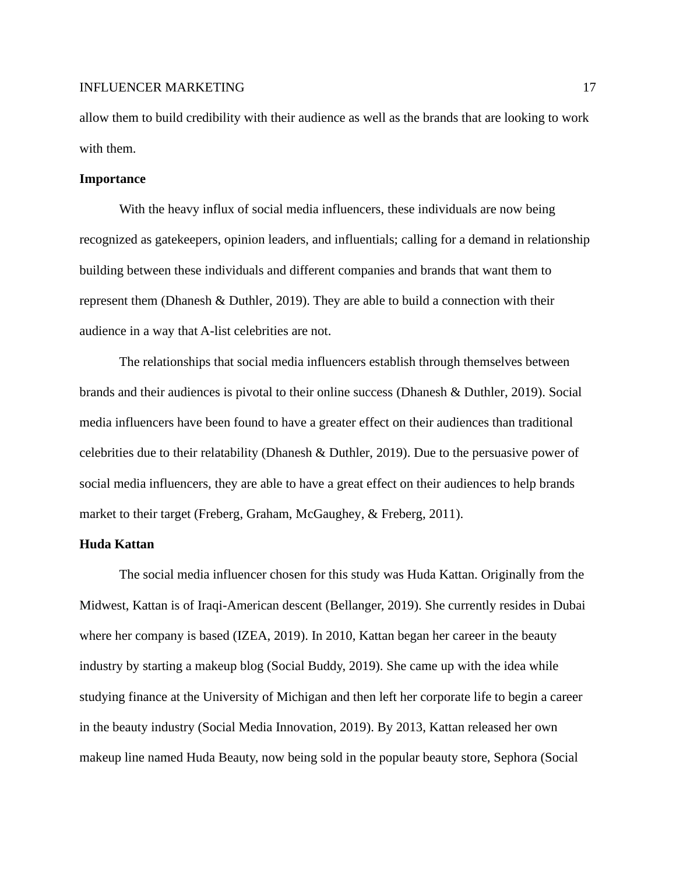allow them to build credibility with their audience as well as the brands that are looking to work with them.

#### **Importance**

With the heavy influx of social media influencers, these individuals are now being recognized as gatekeepers, opinion leaders, and influentials; calling for a demand in relationship building between these individuals and different companies and brands that want them to represent them (Dhanesh & Duthler, 2019). They are able to build a connection with their audience in a way that A-list celebrities are not.

The relationships that social media influencers establish through themselves between brands and their audiences is pivotal to their online success (Dhanesh & Duthler, 2019). Social media influencers have been found to have a greater effect on their audiences than traditional celebrities due to their relatability (Dhanesh & Duthler, 2019). Due to the persuasive power of social media influencers, they are able to have a great effect on their audiences to help brands market to their target (Freberg, Graham, McGaughey, & Freberg, 2011).

# **Huda Kattan**

The social media influencer chosen for this study was Huda Kattan. Originally from the Midwest, Kattan is of Iraqi-American descent (Bellanger, 2019). She currently resides in Dubai where her company is based (IZEA, 2019). In 2010, Kattan began her career in the beauty industry by starting a makeup blog (Social Buddy, 2019). She came up with the idea while studying finance at the University of Michigan and then left her corporate life to begin a career in the beauty industry (Social Media Innovation, 2019). By 2013, Kattan released her own makeup line named Huda Beauty, now being sold in the popular beauty store, Sephora (Social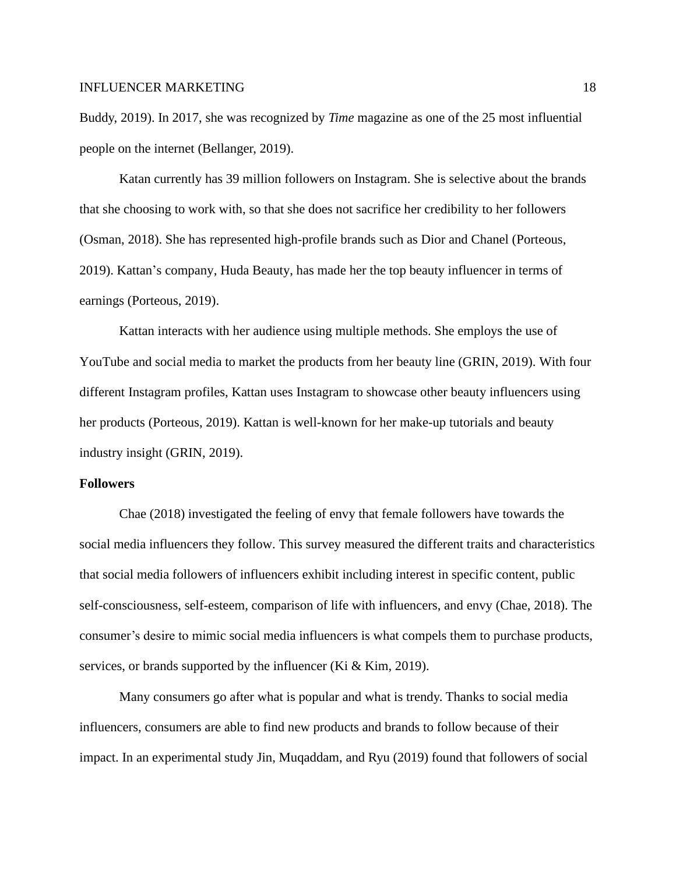Buddy, 2019). In 2017, she was recognized by *Time* magazine as one of the 25 most influential people on the internet (Bellanger, 2019).

Katan currently has 39 million followers on Instagram. She is selective about the brands that she choosing to work with, so that she does not sacrifice her credibility to her followers (Osman, 2018). She has represented high-profile brands such as Dior and Chanel (Porteous, 2019). Kattan's company, Huda Beauty, has made her the top beauty influencer in terms of earnings (Porteous, 2019).

Kattan interacts with her audience using multiple methods. She employs the use of YouTube and social media to market the products from her beauty line (GRIN, 2019). With four different Instagram profiles, Kattan uses Instagram to showcase other beauty influencers using her products (Porteous, 2019). Kattan is well-known for her make-up tutorials and beauty industry insight (GRIN, 2019).

# **Followers**

Chae (2018) investigated the feeling of envy that female followers have towards the social media influencers they follow. This survey measured the different traits and characteristics that social media followers of influencers exhibit including interest in specific content, public self-consciousness, self-esteem, comparison of life with influencers, and envy (Chae, 2018). The consumer's desire to mimic social media influencers is what compels them to purchase products, services, or brands supported by the influencer (Ki & Kim, 2019).

Many consumers go after what is popular and what is trendy. Thanks to social media influencers, consumers are able to find new products and brands to follow because of their impact. In an experimental study Jin, Muqaddam, and Ryu (2019) found that followers of social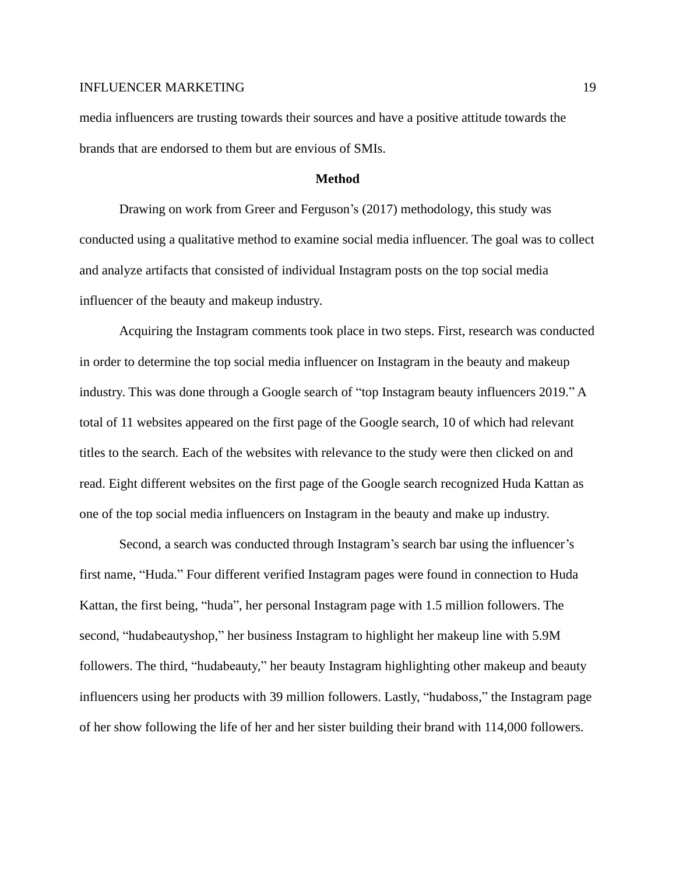media influencers are trusting towards their sources and have a positive attitude towards the brands that are endorsed to them but are envious of SMIs.

### **Method**

Drawing on work from Greer and Ferguson's (2017) methodology, this study was conducted using a qualitative method to examine social media influencer. The goal was to collect and analyze artifacts that consisted of individual Instagram posts on the top social media influencer of the beauty and makeup industry.

Acquiring the Instagram comments took place in two steps. First, research was conducted in order to determine the top social media influencer on Instagram in the beauty and makeup industry. This was done through a Google search of "top Instagram beauty influencers 2019." A total of 11 websites appeared on the first page of the Google search, 10 of which had relevant titles to the search. Each of the websites with relevance to the study were then clicked on and read. Eight different websites on the first page of the Google search recognized Huda Kattan as one of the top social media influencers on Instagram in the beauty and make up industry.

Second, a search was conducted through Instagram's search bar using the influencer's first name, "Huda." Four different verified Instagram pages were found in connection to Huda Kattan, the first being, "huda", her personal Instagram page with 1.5 million followers. The second, "hudabeautyshop," her business Instagram to highlight her makeup line with 5.9M followers. The third, "hudabeauty," her beauty Instagram highlighting other makeup and beauty influencers using her products with 39 million followers. Lastly, "hudaboss," the Instagram page of her show following the life of her and her sister building their brand with 114,000 followers.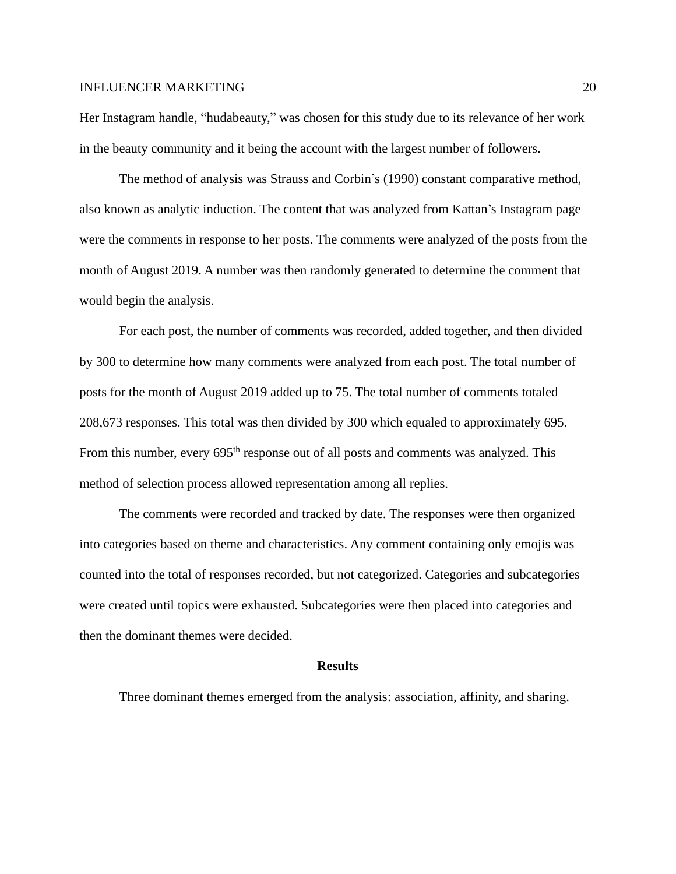Her Instagram handle, "hudabeauty," was chosen for this study due to its relevance of her work in the beauty community and it being the account with the largest number of followers.

The method of analysis was Strauss and Corbin's (1990) constant comparative method, also known as analytic induction. The content that was analyzed from Kattan's Instagram page were the comments in response to her posts. The comments were analyzed of the posts from the month of August 2019. A number was then randomly generated to determine the comment that would begin the analysis.

For each post, the number of comments was recorded, added together, and then divided by 300 to determine how many comments were analyzed from each post. The total number of posts for the month of August 2019 added up to 75. The total number of comments totaled 208,673 responses. This total was then divided by 300 which equaled to approximately 695. From this number, every 695<sup>th</sup> response out of all posts and comments was analyzed. This method of selection process allowed representation among all replies.

The comments were recorded and tracked by date. The responses were then organized into categories based on theme and characteristics. Any comment containing only emojis was counted into the total of responses recorded, but not categorized. Categories and subcategories were created until topics were exhausted. Subcategories were then placed into categories and then the dominant themes were decided.

### **Results**

Three dominant themes emerged from the analysis: association, affinity, and sharing.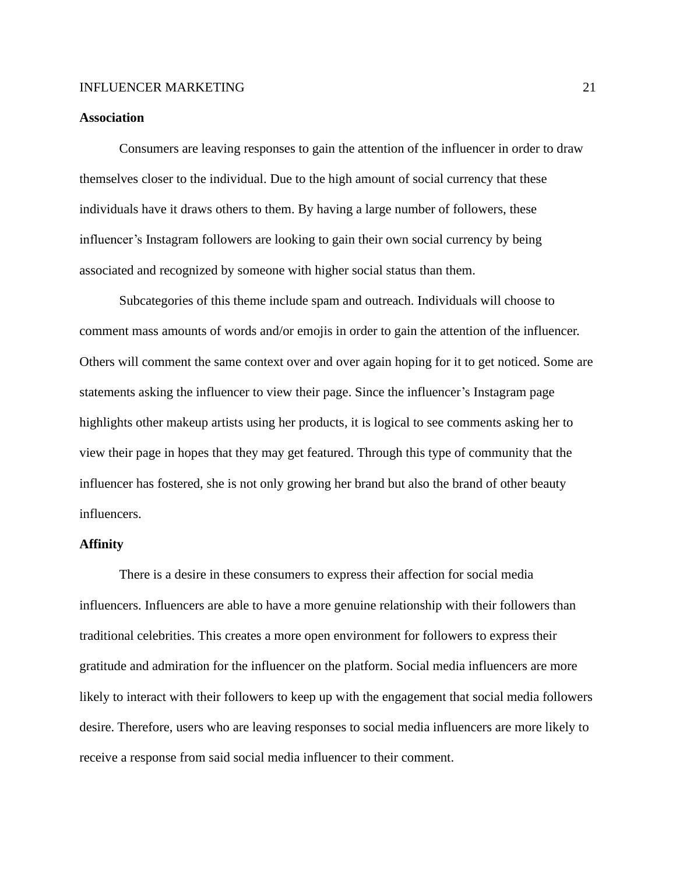# **Association**

Consumers are leaving responses to gain the attention of the influencer in order to draw themselves closer to the individual. Due to the high amount of social currency that these individuals have it draws others to them. By having a large number of followers, these influencer's Instagram followers are looking to gain their own social currency by being associated and recognized by someone with higher social status than them.

Subcategories of this theme include spam and outreach. Individuals will choose to comment mass amounts of words and/or emojis in order to gain the attention of the influencer. Others will comment the same context over and over again hoping for it to get noticed. Some are statements asking the influencer to view their page. Since the influencer's Instagram page highlights other makeup artists using her products, it is logical to see comments asking her to view their page in hopes that they may get featured. Through this type of community that the influencer has fostered, she is not only growing her brand but also the brand of other beauty influencers.

# **Affinity**

There is a desire in these consumers to express their affection for social media influencers. Influencers are able to have a more genuine relationship with their followers than traditional celebrities. This creates a more open environment for followers to express their gratitude and admiration for the influencer on the platform. Social media influencers are more likely to interact with their followers to keep up with the engagement that social media followers desire. Therefore, users who are leaving responses to social media influencers are more likely to receive a response from said social media influencer to their comment.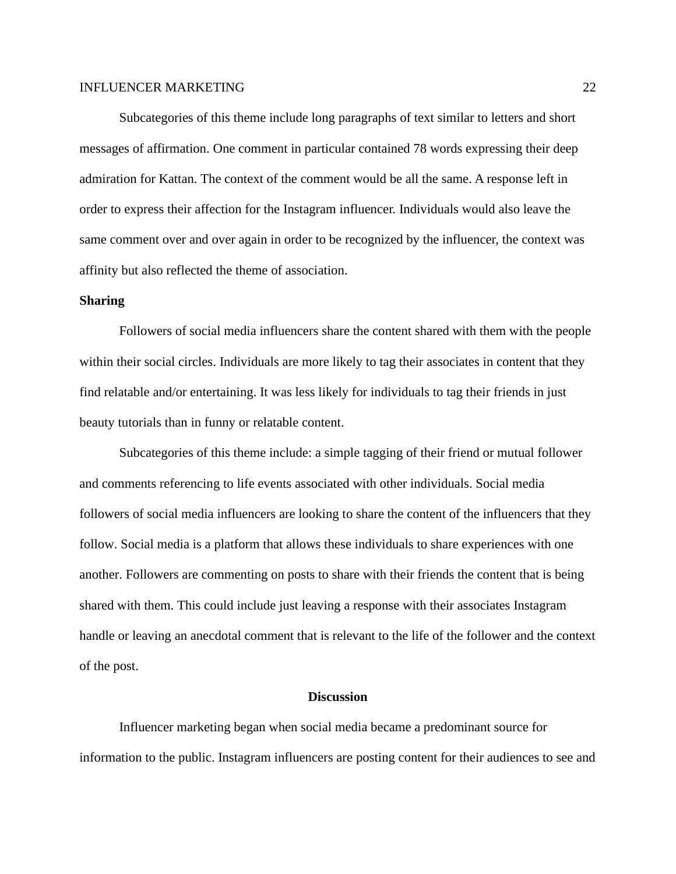Subcategories of this theme include long paragraphs of text similar to letters and short messages of affirmation. One comment in particular contained 78 words expressing their deep admiration for Kattan. The context of the comment would be all the same. A response left in order to express their affection for the Instagram influencer. Individuals would also leave the same comment over and over again in order to be recognized by the influencer, the context was affinity but also reflected the theme of association.

# **Sharing**

Followers of social media influencers share the content shared with them with the people within their social circles. Individuals are more likely to tag their associates in content that they find relatable and/or entertaining. It was less likely for individuals to tag their friends in just beauty tutorials than in funny or relatable content.

Subcategories of this theme include: a simple tagging of their friend or mutual follower and comments referencing to life events associated with other individuals. Social media followers of social media influencers are looking to share the content of the influencers that they follow. Social media is a platform that allows these individuals to share experiences with one another. Followers are commenting on posts to share with their friends the content that is being shared with them. This could include just leaving a response with their associates Instagram handle or leaving an anecdotal comment that is relevant to the life of the follower and the context of the post.

### **Discussion**

Influencer marketing began when social media became a predominant source for information to the public. Instagram influencers are posting content for their audiences to see and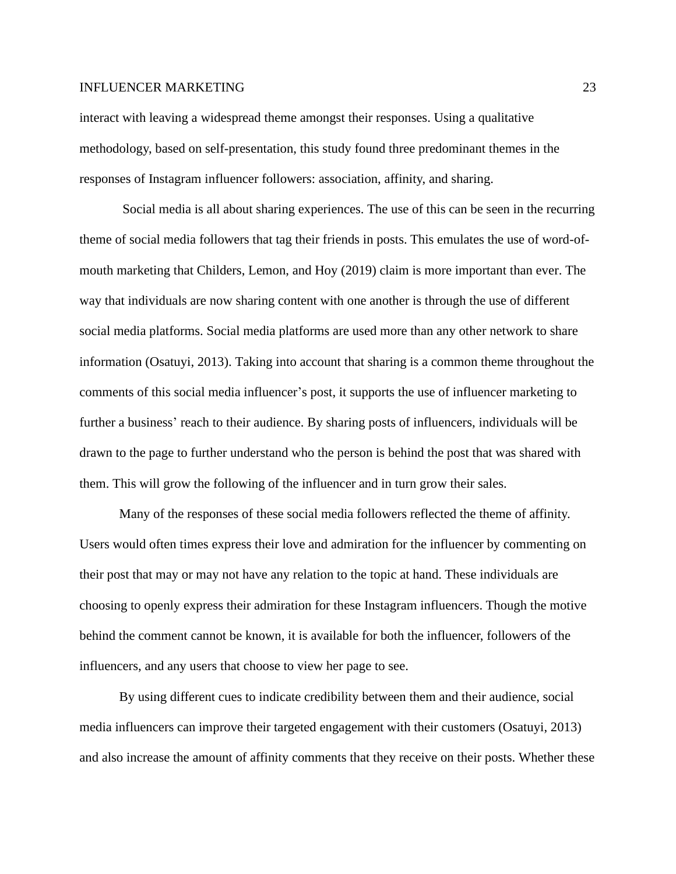interact with leaving a widespread theme amongst their responses. Using a qualitative methodology, based on self-presentation, this study found three predominant themes in the responses of Instagram influencer followers: association, affinity, and sharing.

Social media is all about sharing experiences. The use of this can be seen in the recurring theme of social media followers that tag their friends in posts. This emulates the use of word-ofmouth marketing that Childers, Lemon, and Hoy (2019) claim is more important than ever. The way that individuals are now sharing content with one another is through the use of different social media platforms. Social media platforms are used more than any other network to share information (Osatuyi, 2013). Taking into account that sharing is a common theme throughout the comments of this social media influencer's post, it supports the use of influencer marketing to further a business' reach to their audience. By sharing posts of influencers, individuals will be drawn to the page to further understand who the person is behind the post that was shared with them. This will grow the following of the influencer and in turn grow their sales.

Many of the responses of these social media followers reflected the theme of affinity. Users would often times express their love and admiration for the influencer by commenting on their post that may or may not have any relation to the topic at hand. These individuals are choosing to openly express their admiration for these Instagram influencers. Though the motive behind the comment cannot be known, it is available for both the influencer, followers of the influencers, and any users that choose to view her page to see.

By using different cues to indicate credibility between them and their audience, social media influencers can improve their targeted engagement with their customers (Osatuyi, 2013) and also increase the amount of affinity comments that they receive on their posts. Whether these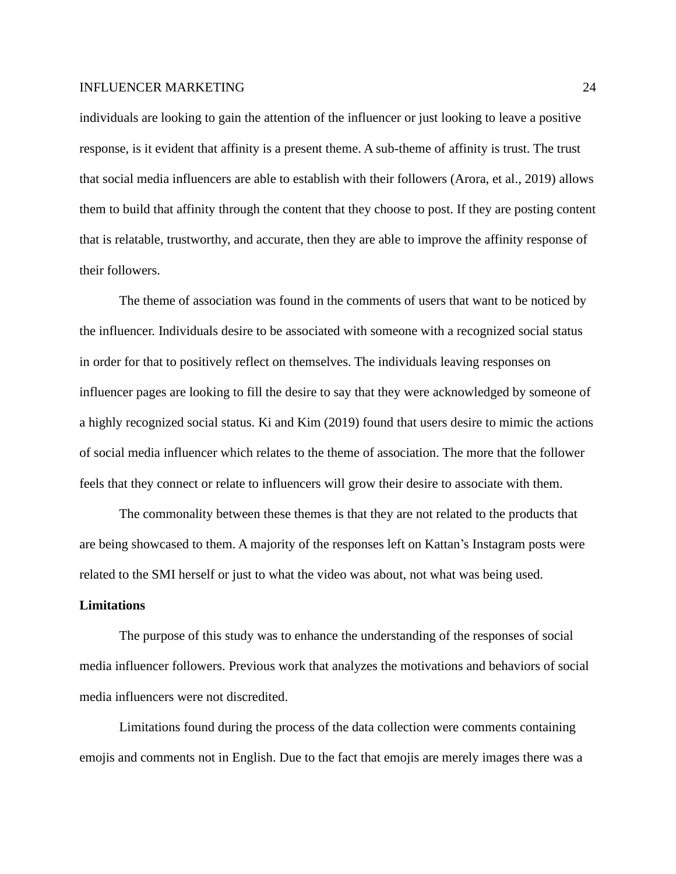individuals are looking to gain the attention of the influencer or just looking to leave a positive response, is it evident that affinity is a present theme. A sub-theme of affinity is trust. The trust that social media influencers are able to establish with their followers (Arora, et al., 2019) allows them to build that affinity through the content that they choose to post. If they are posting content that is relatable, trustworthy, and accurate, then they are able to improve the affinity response of their followers.

The theme of association was found in the comments of users that want to be noticed by the influencer. Individuals desire to be associated with someone with a recognized social status in order for that to positively reflect on themselves. The individuals leaving responses on influencer pages are looking to fill the desire to say that they were acknowledged by someone of a highly recognized social status. Ki and Kim (2019) found that users desire to mimic the actions of social media influencer which relates to the theme of association. The more that the follower feels that they connect or relate to influencers will grow their desire to associate with them.

The commonality between these themes is that they are not related to the products that are being showcased to them. A majority of the responses left on Kattan's Instagram posts were related to the SMI herself or just to what the video was about, not what was being used.

# **Limitations**

The purpose of this study was to enhance the understanding of the responses of social media influencer followers. Previous work that analyzes the motivations and behaviors of social media influencers were not discredited.

Limitations found during the process of the data collection were comments containing emojis and comments not in English. Due to the fact that emojis are merely images there was a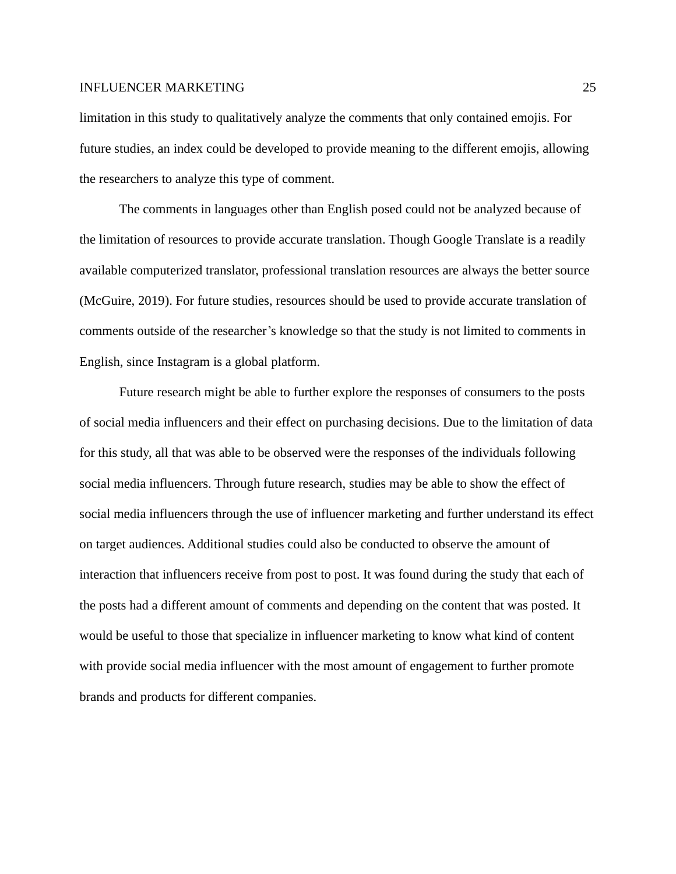limitation in this study to qualitatively analyze the comments that only contained emojis. For future studies, an index could be developed to provide meaning to the different emojis, allowing the researchers to analyze this type of comment.

The comments in languages other than English posed could not be analyzed because of the limitation of resources to provide accurate translation. Though Google Translate is a readily available computerized translator, professional translation resources are always the better source (McGuire, 2019). For future studies, resources should be used to provide accurate translation of comments outside of the researcher's knowledge so that the study is not limited to comments in English, since Instagram is a global platform.

Future research might be able to further explore the responses of consumers to the posts of social media influencers and their effect on purchasing decisions. Due to the limitation of data for this study, all that was able to be observed were the responses of the individuals following social media influencers. Through future research, studies may be able to show the effect of social media influencers through the use of influencer marketing and further understand its effect on target audiences. Additional studies could also be conducted to observe the amount of interaction that influencers receive from post to post. It was found during the study that each of the posts had a different amount of comments and depending on the content that was posted. It would be useful to those that specialize in influencer marketing to know what kind of content with provide social media influencer with the most amount of engagement to further promote brands and products for different companies.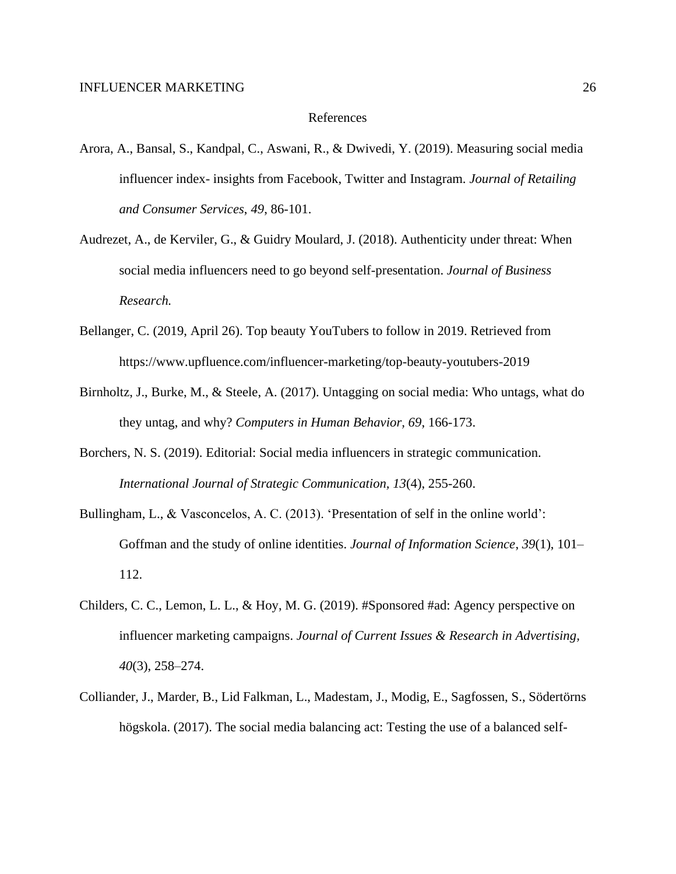### References

- Arora, A., Bansal, S., Kandpal, C., Aswani, R., & Dwivedi, Y. (2019). Measuring social media influencer index- insights from Facebook, Twitter and Instagram. *Journal of Retailing and Consumer Services*, *49*, 86-101.
- Audrezet, A., de Kerviler, G., & Guidry Moulard, J. (2018). Authenticity under threat: When social media influencers need to go beyond self-presentation. *Journal of Business Research.*
- Bellanger, C. (2019, April 26). Top beauty YouTubers to follow in 2019. Retrieved from https://www.upfluence.com/influencer-marketing/top-beauty-youtubers-2019
- Birnholtz, J., Burke, M., & Steele, A. (2017). Untagging on social media: Who untags, what do they untag, and why? *Computers in Human Behavior, 69*, 166-173.
- Borchers, N. S. (2019). Editorial: Social media influencers in strategic communication. *International Journal of Strategic Communication, 13*(4), 255-260.
- Bullingham, L., & Vasconcelos, A. C. (2013). 'Presentation of self in the online world': Goffman and the study of online identities. *Journal of Information Science*, *39*(1), 101– 112.
- Childers, C. C., Lemon, L. L., & Hoy, M. G. (2019). #Sponsored #ad: Agency perspective on influencer marketing campaigns. *Journal of Current Issues & Research in Advertising, 40*(3), 258–274.
- Colliander, J., Marder, B., Lid Falkman, L., Madestam, J., Modig, E., Sagfossen, S., Södertörns högskola. (2017). The social media balancing act: Testing the use of a balanced self-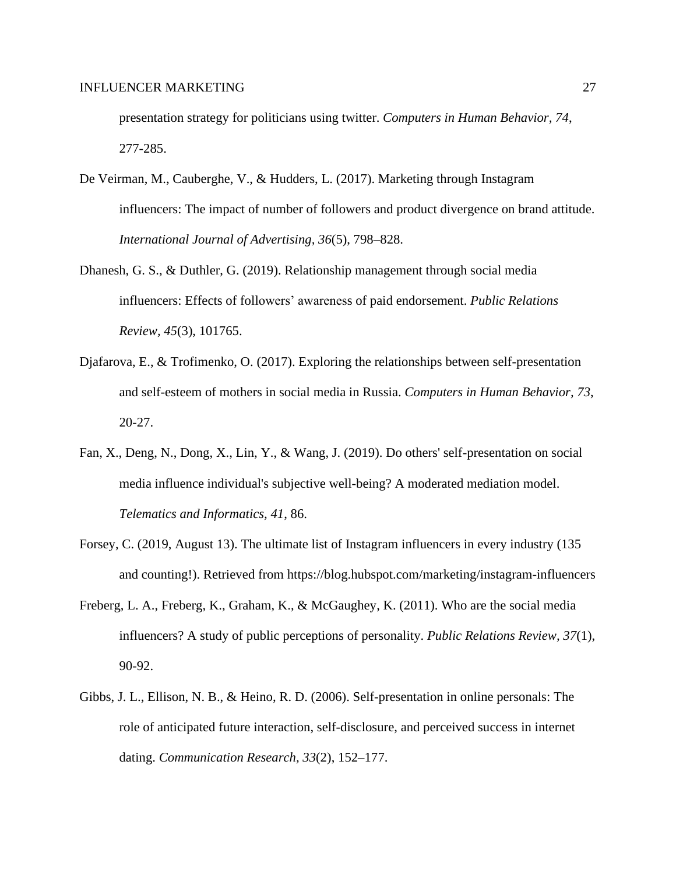presentation strategy for politicians using twitter. *Computers in Human Behavior, 74*, 277-285.

- De Veirman, M., Cauberghe, V., & Hudders, L. (2017). Marketing through Instagram influencers: The impact of number of followers and product divergence on brand attitude. *International Journal of Advertising, 36*(5), 798–828.
- Dhanesh, G. S., & Duthler, G. (2019). Relationship management through social media influencers: Effects of followers' awareness of paid endorsement. *Public Relations Review, 45*(3), 101765.
- Djafarova, E., & Trofimenko, O. (2017). Exploring the relationships between self-presentation and self-esteem of mothers in social media in Russia. *Computers in Human Behavior, 73*, 20-27.
- Fan, X., Deng, N., Dong, X., Lin, Y., & Wang, J. (2019). Do others' self-presentation on social media influence individual's subjective well-being? A moderated mediation model. *Telematics and Informatics, 41*, 86.
- Forsey, C. (2019, August 13). The ultimate list of Instagram influencers in every industry (135 and counting!). Retrieved from https://blog.hubspot.com/marketing/instagram-influencers
- Freberg, L. A., Freberg, K., Graham, K., & McGaughey, K. (2011). Who are the social media influencers? A study of public perceptions of personality. *Public Relations Review, 37*(1), 90-92.
- Gibbs, J. L., Ellison, N. B., & Heino, R. D. (2006). Self-presentation in online personals: The role of anticipated future interaction, self-disclosure, and perceived success in internet dating. *Communication Research, 33*(2), 152–177.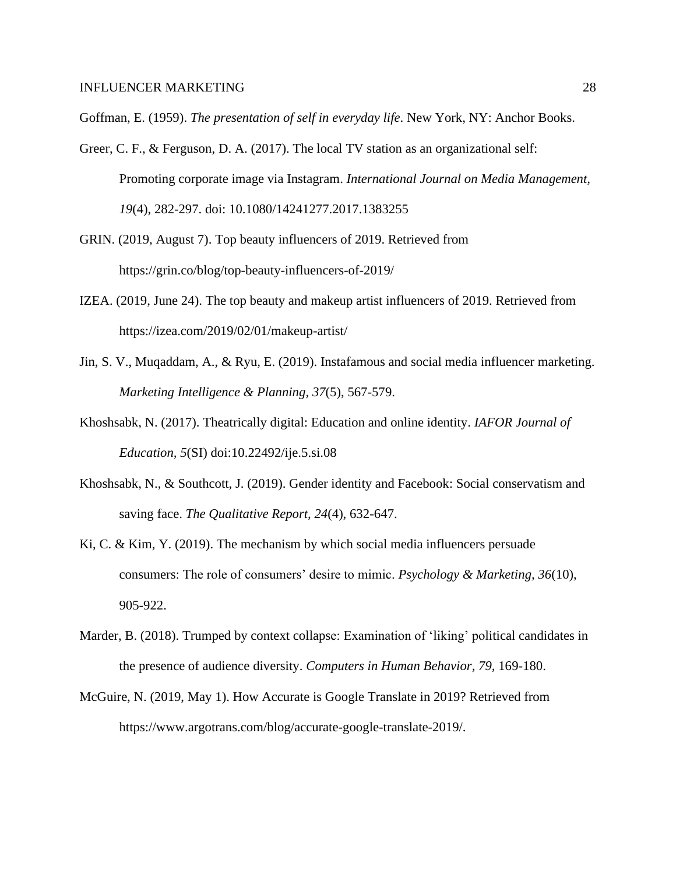Goffman, E. (1959). *The presentation of self in everyday life*. New York, NY: Anchor Books.

- Greer, C. F., & Ferguson, D. A. (2017). The local TV station as an organizational self: Promoting corporate image via Instagram. *International Journal on Media Management, 19*(4), 282-297. doi: 10.1080/14241277.2017.1383255
- GRIN. (2019, August 7). Top beauty influencers of 2019. Retrieved from https://grin.co/blog/top-beauty-influencers-of-2019/
- IZEA. (2019, June 24). The top beauty and makeup artist influencers of 2019. Retrieved from https://izea.com/2019/02/01/makeup-artist/
- Jin, S. V., Muqaddam, A., & Ryu, E. (2019). Instafamous and social media influencer marketing. *Marketing Intelligence & Planning, 37*(5), 567-579.
- Khoshsabk, N. (2017). Theatrically digital: Education and online identity. *IAFOR Journal of Education, 5*(SI) doi:10.22492/ije.5.si.08
- Khoshsabk, N., & Southcott, J. (2019). Gender identity and Facebook: Social conservatism and saving face. *The Qualitative Report, 24*(4), 632-647.
- Ki, C. & Kim, Y. (2019). The mechanism by which social media influencers persuade consumers: The role of consumers' desire to mimic. *Psychology & Marketing, 36*(10), 905-922.
- Marder, B. (2018). Trumped by context collapse: Examination of 'liking' political candidates in the presence of audience diversity. *Computers in Human Behavior, 79,* 169-180.
- McGuire, N. (2019, May 1). How Accurate is Google Translate in 2019? Retrieved from https://www.argotrans.com/blog/accurate-google-translate-2019/.